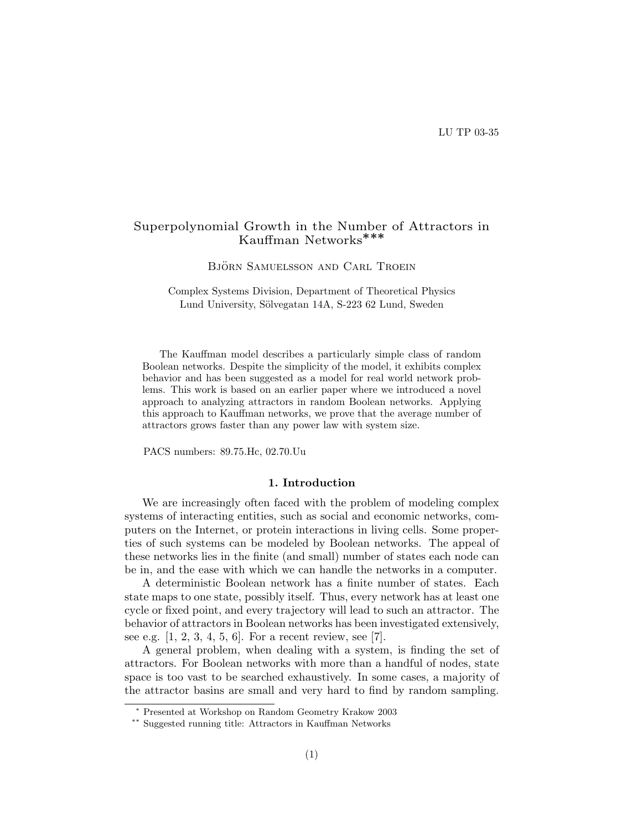# Superpolynomial Growth in the Number of Attractors in Kauffman Networks∗∗∗

BJÖRN SAMUELSSON AND CARL TROEIN

Complex Systems Division, Department of Theoretical Physics Lund University, Sölvegatan 14A, S-223 62 Lund, Sweden

The Kauffman model describes a particularly simple class of random Boolean networks. Despite the simplicity of the model, it exhibits complex behavior and has been suggested as a model for real world network problems. This work is based on an earlier paper where we introduced a novel approach to analyzing attractors in random Boolean networks. Applying this approach to Kauffman networks, we prove that the average number of attractors grows faster than any power law with system size.

PACS numbers: 89.75.Hc, 02.70.Uu

## 1. Introduction

We are increasingly often faced with the problem of modeling complex systems of interacting entities, such as social and economic networks, computers on the Internet, or protein interactions in living cells. Some properties of such systems can be modeled by Boolean networks. The appeal of these networks lies in the finite (and small) number of states each node can be in, and the ease with which we can handle the networks in a computer.

A deterministic Boolean network has a finite number of states. Each state maps to one state, possibly itself. Thus, every network has at least one cycle or fixed point, and every trajectory will lead to such an attractor. The behavior of attractors in Boolean networks has been investigated extensively, see e.g.  $[1, 2, 3, 4, 5, 6]$ . For a recent review, see [7].

A general problem, when dealing with a system, is finding the set of attractors. For Boolean networks with more than a handful of nodes, state space is too vast to be searched exhaustively. In some cases, a majority of the attractor basins are small and very hard to find by random sampling.

<sup>∗</sup> Presented at Workshop on Random Geometry Krakow 2003

<sup>∗∗</sup> Suggested running title: Attractors in Kauffman Networks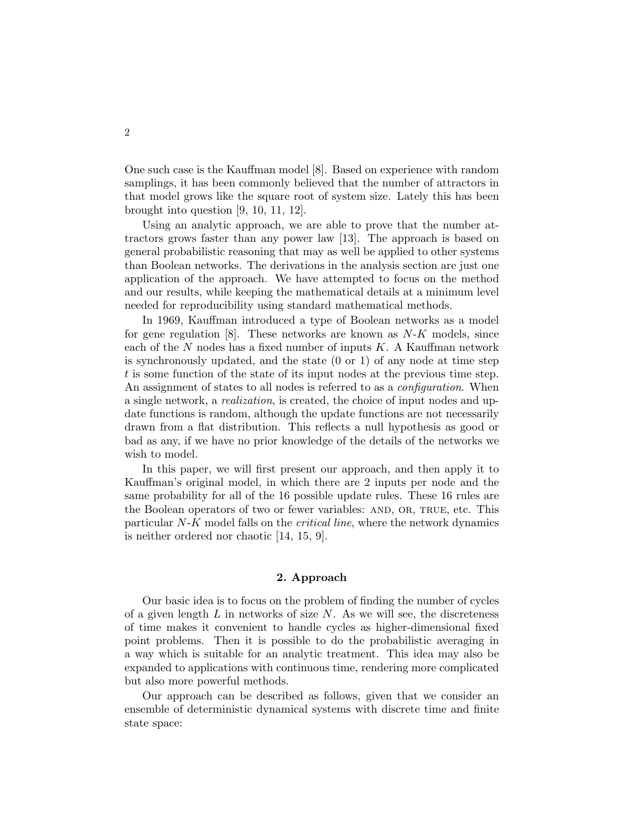One such case is the Kauffman model [8]. Based on experience with random samplings, it has been commonly believed that the number of attractors in that model grows like the square root of system size. Lately this has been brought into question [9, 10, 11, 12].

Using an analytic approach, we are able to prove that the number attractors grows faster than any power law [13]. The approach is based on general probabilistic reasoning that may as well be applied to other systems than Boolean networks. The derivations in the analysis section are just one application of the approach. We have attempted to focus on the method and our results, while keeping the mathematical details at a minimum level needed for reproducibility using standard mathematical methods.

In 1969, Kauffman introduced a type of Boolean networks as a model for gene regulation [8]. These networks are known as  $N-K$  models, since each of the  $N$  nodes has a fixed number of inputs  $K$ . A Kauffman network is synchronously updated, and the state (0 or 1) of any node at time step t is some function of the state of its input nodes at the previous time step. An assignment of states to all nodes is referred to as a *configuration*. When a single network, a realization, is created, the choice of input nodes and update functions is random, although the update functions are not necessarily drawn from a flat distribution. This reflects a null hypothesis as good or bad as any, if we have no prior knowledge of the details of the networks we wish to model.

In this paper, we will first present our approach, and then apply it to Kauffman's original model, in which there are 2 inputs per node and the same probability for all of the 16 possible update rules. These 16 rules are the Boolean operators of two or fewer variables: AND, OR, TRUE, etc. This particular N-K model falls on the critical line, where the network dynamics is neither ordered nor chaotic [14, 15, 9].

## 2. Approach

Our basic idea is to focus on the problem of finding the number of cycles of a given length  $L$  in networks of size  $N$ . As we will see, the discreteness of time makes it convenient to handle cycles as higher-dimensional fixed point problems. Then it is possible to do the probabilistic averaging in a way which is suitable for an analytic treatment. This idea may also be expanded to applications with continuous time, rendering more complicated but also more powerful methods.

Our approach can be described as follows, given that we consider an ensemble of deterministic dynamical systems with discrete time and finite state space: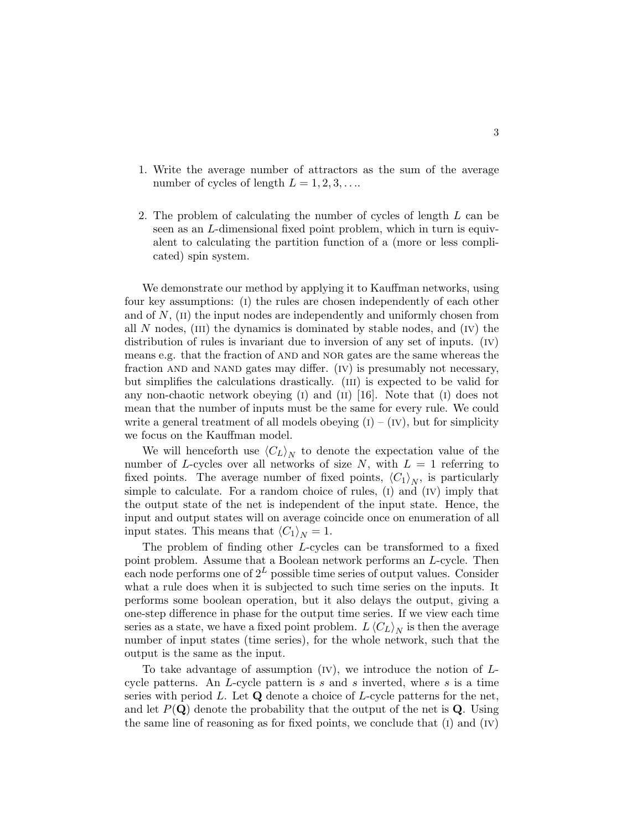- 1. Write the average number of attractors as the sum of the average number of cycles of length  $L = 1, 2, 3, \ldots$
- 2. The problem of calculating the number of cycles of length L can be seen as an L-dimensional fixed point problem, which in turn is equivalent to calculating the partition function of a (more or less complicated) spin system.

We demonstrate our method by applying it to Kauffman networks, using four key assumptions: (i) the rules are chosen independently of each other and of  $N$ ,  $(ii)$  the input nodes are independently and uniformly chosen from all N nodes,  $(III)$  the dynamics is dominated by stable nodes, and  $(IV)$  the distribution of rules is invariant due to inversion of any set of inputs.  $(V)$ means e.g. that the fraction of AND and NOR gates are the same whereas the fraction AND and NAND gates may differ. (IV) is presumably not necessary, but simplifies the calculations drastically. (iii) is expected to be valid for any non-chaotic network obeying  $(I)$  and  $(II)$  [16]. Note that  $(I)$  does not mean that the number of inputs must be the same for every rule. We could write a general treatment of all models obeying  $(I) - (IV)$ , but for simplicity we focus on the Kauffman model.

We will henceforth use  $\langle C_L \rangle_N$  to denote the expectation value of the number of L-cycles over all networks of size  $N$ , with  $L = 1$  referring to fixed points. The average number of fixed points,  $\langle C_1 \rangle_N$ , is particularly simple to calculate. For a random choice of rules,  $(I)$  and  $(IV)$  imply that the output state of the net is independent of the input state. Hence, the input and output states will on average coincide once on enumeration of all input states. This means that  $\langle C_1 \rangle_N = 1$ .

The problem of finding other L-cycles can be transformed to a fixed point problem. Assume that a Boolean network performs an L-cycle. Then each node performs one of  $2^L$  possible time series of output values. Consider what a rule does when it is subjected to such time series on the inputs. It performs some boolean operation, but it also delays the output, giving a one-step difference in phase for the output time series. If we view each time series as a state, we have a fixed point problem.  $L\langle C_L \rangle_N$  is then the average number of input states (time series), for the whole network, such that the output is the same as the input.

To take advantage of assumption  $(IV)$ , we introduce the notion of  $L$ cycle patterns. An L-cycle pattern is s and s inverted, where s is a time series with period L. Let  $\bf{Q}$  denote a choice of L-cycle patterns for the net, and let  $P(Q)$  denote the probability that the output of the net is Q. Using the same line of reasoning as for fixed points, we conclude that  $(1)$  and  $(IV)$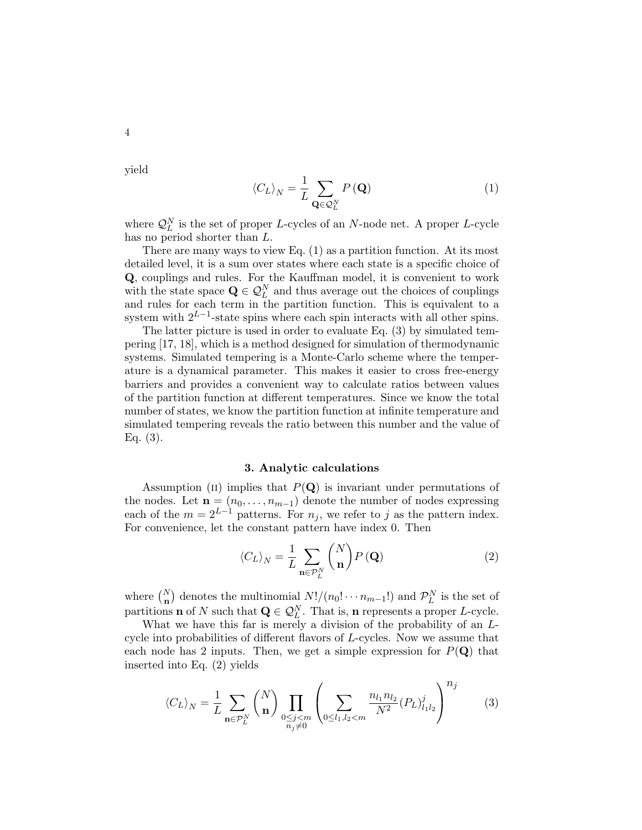yield

4

$$
\langle C_L \rangle_N = \frac{1}{L} \sum_{\mathbf{Q} \in \mathcal{Q}_L^N} P(\mathbf{Q}) \tag{1}
$$

where  $\mathcal{Q}_L^N$  is the set of proper L-cycles of an N-node net. A proper L-cycle has no period shorter than L.

There are many ways to view Eq. (1) as a partition function. At its most detailed level, it is a sum over states where each state is a specific choice of Q, couplings and rules. For the Kauffman model, it is convenient to work with the state space  $\mathbf{Q} \in \mathcal{Q}_L^N$  and thus average out the choices of couplings and rules for each term in the partition function. This is equivalent to a system with  $2^{L-1}$ -state spins where each spin interacts with all other spins.

The latter picture is used in order to evaluate Eq. (3) by simulated tempering [17, 18], which is a method designed for simulation of thermodynamic systems. Simulated tempering is a Monte-Carlo scheme where the temperature is a dynamical parameter. This makes it easier to cross free-energy barriers and provides a convenient way to calculate ratios between values of the partition function at different temperatures. Since we know the total number of states, we know the partition function at infinite temperature and simulated tempering reveals the ratio between this number and the value of Eq. (3).

#### 3. Analytic calculations

Assumption (II) implies that  $P(Q)$  is invariant under permutations of the nodes. Let  $\mathbf{n} = (n_0, \ldots, n_{m-1})$  denote the number of nodes expressing each of the  $m = 2^{L-1}$  patterns. For  $n_j$ , we refer to j as the pattern index. For convenience, let the constant pattern have index 0. Then

$$
\langle C_L \rangle_N = \frac{1}{L} \sum_{\mathbf{n} \in \mathcal{P}_L^N} {N \choose \mathbf{n}} P(\mathbf{Q}) \tag{2}
$$

where  $\binom{N}{n}$ ¢ denotes the multinomial  $N!/(n_0! \cdots n_{m-1}!)$  and  $\mathcal{P}_L^N$  is the set of partitions **n** of N such that  $\mathbf{Q} \in \mathcal{Q}_L^N$ . That is, **n** represents a proper L-cycle.

What we have this far is merely a division of the probability of an  $L$ cycle into probabilities of different flavors of L-cycles. Now we assume that each node has 2 inputs. Then, we get a simple expression for  $P(\mathbf{Q})$  that inserted into Eq. (2) yields

$$
\langle C_L \rangle_N = \frac{1}{L} \sum_{\mathbf{n} \in \mathcal{P}_L^N} {N \choose \mathbf{n}} \prod_{\substack{0 \le j < m \\ n_j \neq 0}} \left( \sum_{0 \le l_1, l_2 < m} \frac{n_{l_1} n_{l_2}}{N^2} (P_L)_{l_1 l_2}^j \right)^{n_j} \tag{3}
$$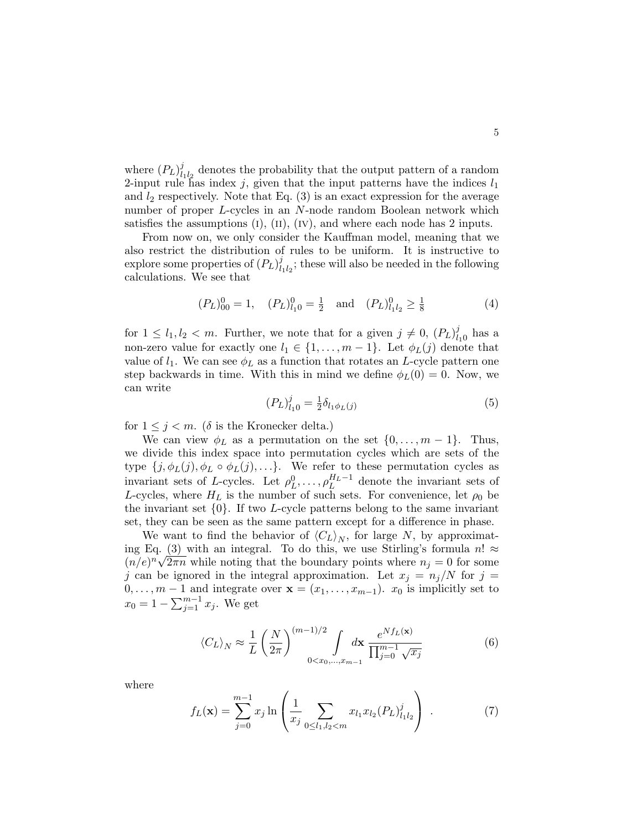where  $(P_L)^j_l$  $\frac{d}{dt_1}_{t_2}$  denotes the probability that the output pattern of a random 2-input rule has index j, given that the input patterns have the indices  $l_1$ and  $l_2$  respectively. Note that Eq. (3) is an exact expression for the average number of proper L-cycles in an N-node random Boolean network which satisfies the assumptions  $(I)$ ,  $(II)$ ,  $(IV)$ , and where each node has 2 inputs.

From now on, we only consider the Kauffman model, meaning that we also restrict the distribution of rules to be uniform. It is instructive to explore some properties of  $(P_L)_l^j$  $\frac{d}{dt_1 t_2}$ ; these will also be needed in the following calculations. We see that

$$
(P_L)_{00}^0 = 1, \quad (P_L)_{l_10}^0 = \frac{1}{2} \quad \text{and} \quad (P_L)_{l_1l_2}^0 \ge \frac{1}{8} \tag{4}
$$

for  $1 \leq l_1, l_2 < m$ . Further, we note that for a given  $j \neq 0$ ,  $(P_L)^j_l$  $_{l_10}^j$  has a non-zero value for exactly one  $l_1 \in \{1, \ldots, m-1\}$ . Let  $\phi_L(j)$  denote that value of  $l_1$ . We can see  $\phi_L$  as a function that rotates an L-cycle pattern one step backwards in time. With this in mind we define  $\phi_L(0) = 0$ . Now, we can write

$$
(P_L)_{l_1 0}^j = \frac{1}{2} \delta_{l_1 \phi_L(j)} \tag{5}
$$

for  $1 \leq j \leq m$ . ( $\delta$  is the Kronecker delta.)

We can view  $\phi_L$  as a permutation on the set  $\{0, \ldots, m-1\}$ . Thus, we divide this index space into permutation cycles which are sets of the type  $\{j, \phi_L(j), \phi_L \circ \phi_L(j), \ldots\}$ . We refer to these permutation cycles as invariant sets of L-cycles. Let  $\rho_L^0, \ldots, \rho_L^{H_L-1}$  denote the invariant sets of L-cycles, where  $H_L$  is the number of such sets. For convenience, let  $\rho_0$  be the invariant set  $\{0\}$ . If two *L*-cycle patterns belong to the same invariant set, they can be seen as the same pattern except for a difference in phase.

We want to find the behavior of  $\langle C_L \rangle_N$ , for large N, by approximating Eq.  $(3)$  with an integral. To do this, we use Stirling's formula  $n! \approx$  $(n/e)^n \sqrt{2\pi n}$  while noting that the boundary points where  $n_j = 0$  for some j can be ignored in the integral approximation. Let  $x_j = n_j/N$  for  $j =$  $0, \ldots, m-1$  and integrate over  $\mathbf{x} = (x_1, \ldots, x_{m-1})$ .  $x_0$  is implicitly set to  $x_0 = 1 - \sum_{i=1}^{m-1}$  $_{j=1}^{m-1} x_j$ . We get

$$
\langle C_L \rangle_N \approx \frac{1}{L} \left( \frac{N}{2\pi} \right)^{(m-1)/2} \int_{0 < x_0, \dots, x_{m-1}} dx \frac{e^{Nf_L(\mathbf{x})}}{\prod_{j=0}^{m-1} \sqrt{x_j}} \tag{6}
$$

where

$$
f_L(\mathbf{x}) = \sum_{j=0}^{m-1} x_j \ln \left( \frac{1}{x_j} \sum_{0 \le l_1, l_2 < m} x_{l_1} x_{l_2} (P_L)_{l_1 l_2}^j \right) \tag{7}
$$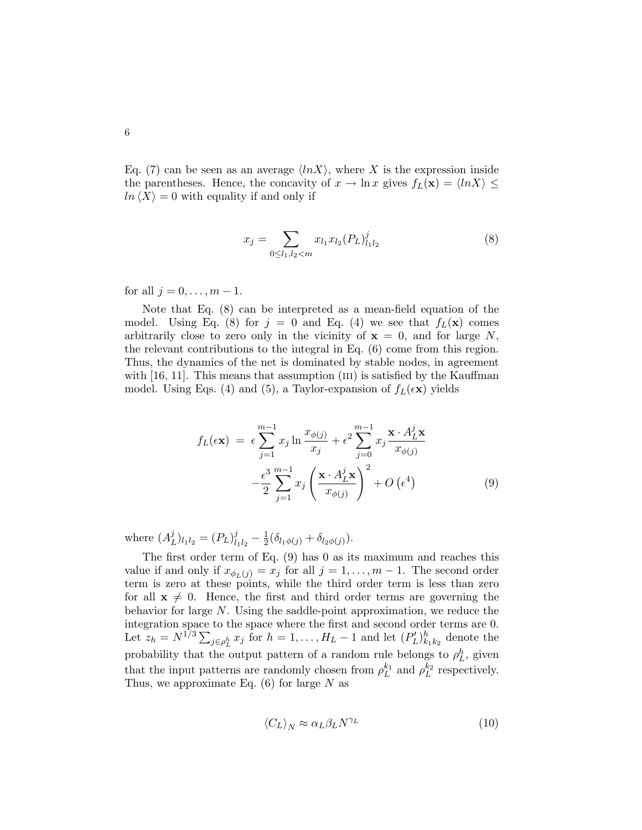Eq. (7) can be seen as an average  $\langle lnX \rangle$ , where X is the expression inside the parentheses. Hence, the concavity of  $x \to \ln x$  gives  $f_L(\mathbf{x}) = \langle \ln X \rangle \leq$  $ln \langle X \rangle = 0$  with equality if and only if

$$
x_j = \sum_{0 \le l_1, l_2 < m} x_{l_1} x_{l_2} (P_L)_{l_1 l_2}^j \tag{8}
$$

for all  $j = 0, ..., m - 1$ .

Note that Eq. (8) can be interpreted as a mean-field equation of the model. Using Eq. (8) for  $j = 0$  and Eq. (4) we see that  $f_L(\mathbf{x})$  comes arbitrarily close to zero only in the vicinity of  $x = 0$ , and for large N, the relevant contributions to the integral in Eq. (6) come from this region. Thus, the dynamics of the net is dominated by stable nodes, in agreement with  $[16, 11]$ . This means that assumption  $(III)$  is satisfied by the Kauffman model. Using Eqs. (4) and (5), a Taylor-expansion of  $f_L(\epsilon \mathbf{x})$  yields

$$
f_L(\epsilon \mathbf{x}) = \epsilon \sum_{j=1}^{m-1} x_j \ln \frac{x_{\phi(j)}}{x_j} + \epsilon^2 \sum_{j=0}^{m-1} x_j \frac{\mathbf{x} \cdot A_L^j \mathbf{x}}{x_{\phi(j)}} -\frac{\epsilon^3}{2} \sum_{j=1}^{m-1} x_j \left( \frac{\mathbf{x} \cdot A_L^j \mathbf{x}}{x_{\phi(j)}} \right)^2 + O\left(\epsilon^4\right)
$$
(9)

where  $(A_I^j)$  $_{L}^{j})_{l_{1}l_{2}}=(P_{L})_{l}^{j}$  $\frac{j}{l_1l_2} - \frac{1}{2}$  $\frac{1}{2}(\delta_{l_1\phi(j)}+\delta_{l_2\phi(j)}).$ 

The first order term of Eq. (9) has 0 as its maximum and reaches this value if and only if  $x_{\phi_L(j)} = x_j$  for all  $j = 1, ..., m - 1$ . The second order term is zero at these points, while the third order term is less than zero for all  $x \neq 0$ . Hence, the first and third order terms are governing the behavior for large N. Using the saddle-point approximation, we reduce the integration space to the space where the first and second order terms are 0. integration space to the space where the first and second order terms are 0.<br>Let  $z_h = N^{1/3} \sum_{j \in \rho_L^h} x_j$  for  $h = 1, ..., H_L - 1$  and let  $(P'_L)_{k_1 k_2}^h$  denote the probability that the output pattern of a random rule belongs to  $\rho_L^h$ , given that the input patterns are randomly chosen from  $\rho_L^{k_1}$  and  $\rho_L^{k_2}$  respectively. Thus, we approximate Eq.  $(6)$  for large N as

$$
\langle C_L \rangle_N \approx \alpha_L \beta_L N^{\gamma_L} \tag{10}
$$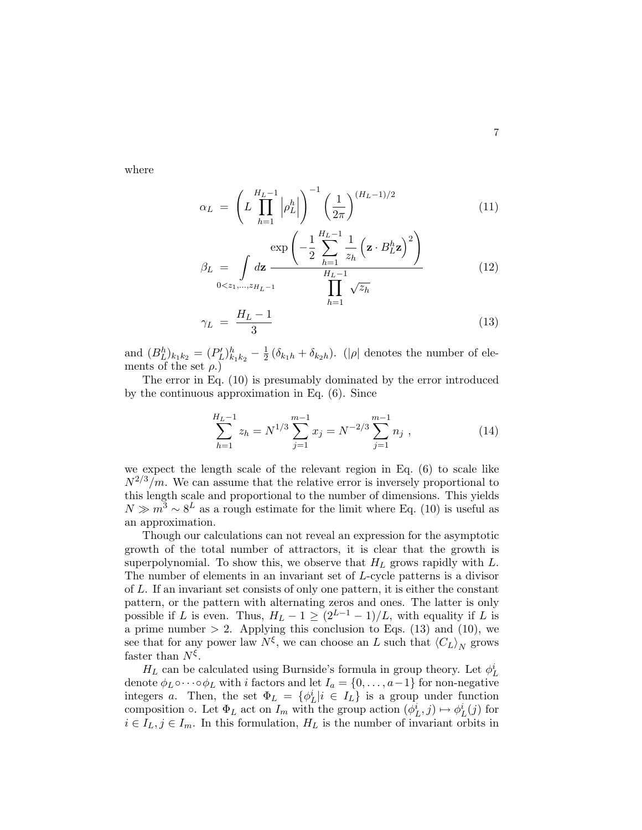where

$$
\alpha_L = \left( L \prod_{h=1}^{H_L - 1} \left| \rho_L^h \right| \right)^{-1} \left( \frac{1}{2\pi} \right)^{(H_L - 1)/2} \tag{11}
$$

$$
\beta_L = \int_{0 < z_1, \ldots, z_{H_L - 1}} \frac{\exp\left(-\frac{1}{2} \sum_{h=1}^{H_L - 1} \frac{1}{z_h} \left(\mathbf{z} \cdot B_L^h \mathbf{z}\right)^2\right)}{\prod_{h=1}^{H_L - 1} \sqrt{z_h}}
$$
(12)

$$
\gamma_L = \frac{H_L - 1}{3} \tag{13}
$$

and  $(B_L^h)_{k_1k_2} = (P'_L)_{k_1k_2}^h - \frac{1}{2}$  $\frac{1}{2}(\delta_{k_1h} + \delta_{k_2h})$ . (| $\rho$ | denotes the number of elements of the set  $\rho$ .)

The error in Eq. (10) is presumably dominated by the error introduced by the continuous approximation in Eq. (6). Since

$$
\sum_{h=1}^{H_L-1} z_h = N^{1/3} \sum_{j=1}^{m-1} x_j = N^{-2/3} \sum_{j=1}^{m-1} n_j , \qquad (14)
$$

we expect the length scale of the relevant region in Eq. (6) to scale like  $N^{2/3}/m$ . We can assume that the relative error is inversely proportional to this length scale and proportional to the number of dimensions. This yields  $N \gg m^3 \sim 8^L$  as a rough estimate for the limit where Eq. (10) is useful as an approximation.

Though our calculations can not reveal an expression for the asymptotic growth of the total number of attractors, it is clear that the growth is superpolynomial. To show this, we observe that  $H_L$  grows rapidly with  $L$ . The number of elements in an invariant set of L-cycle patterns is a divisor of L. If an invariant set consists of only one pattern, it is either the constant pattern, or the pattern with alternating zeros and ones. The latter is only possible if L is even. Thus,  $H_L - 1 \ge (2^{L-1} - 1)/L$ , with equality if L is a prime number  $> 2$ . Applying this conclusion to Eqs. (13) and (10), we see that for any power law  $N^{\xi}$ , we can choose an L such that  $\langle C_L \rangle_N$  grows faster than  $N^{\xi}$ .

 $H_L$  can be calculated using Burnside's formula in group theory. Let  $\phi^i_L$ denote  $\phi_L \circ \cdots \circ \phi_L$  with *i* factors and let  $I_a = \{0, \ldots, a-1\}$  for non-negative integers a. Then, the set  $\Phi_L = {\phi_L^i | i \in I_L}$  is a group under function composition  $\circ$ . Let  $\Phi_L$  act on  $I_m$  with the group action  $(\phi_L^i, j) \mapsto \phi_L^i(j)$  for  $i \in I_L, j \in I_m$ . In this formulation,  $H_L$  is the number of invariant orbits in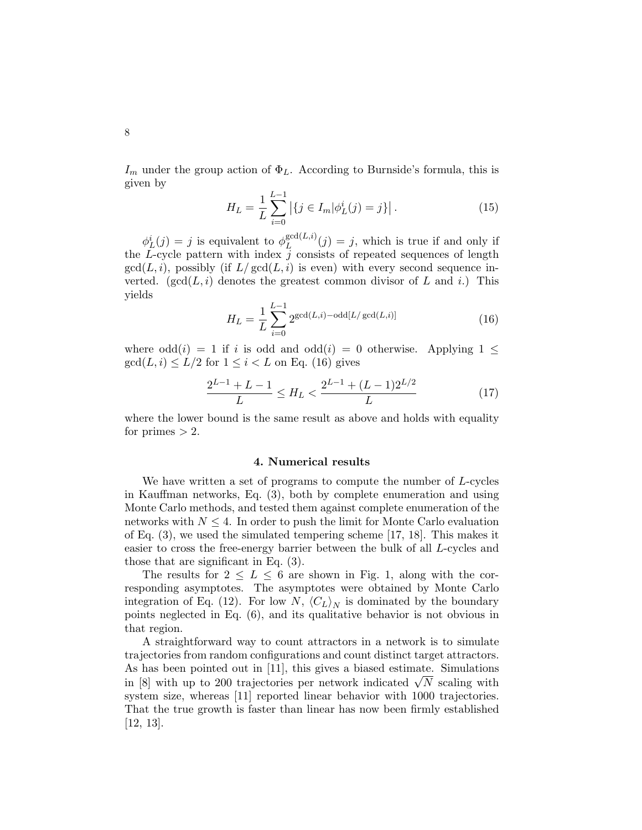$I_m$  under the group action of  $\Phi_L$ . According to Burnside's formula, this is given by

$$
H_L = \frac{1}{L} \sum_{i=0}^{L-1} \left| \{ j \in I_m | \phi_L^i(j) = j \} \right|.
$$
 (15)

 $\phi_L^i(j) = j$  is equivalent to  $\phi_L^{\gcd(L,i)}$  $L_L^{\gcd(L,i)}(j) = j$ , which is true if and only if the  $L$ -cycle pattern with index  $j$  consists of repeated sequences of length  $gcd(L, i)$ , possibly (if  $L/gcd(L, i)$  is even) with every second sequence inverted. (gcd( $L, i$ ) denotes the greatest common divisor of  $L$  and  $i$ .) This yields

$$
H_L = \frac{1}{L} \sum_{i=0}^{L-1} 2^{\gcd(L,i) - \text{odd}[L/\gcd(L,i)]}
$$
(16)

where  $odd(i) = 1$  if i is odd and  $odd(i) = 0$  otherwise. Applying  $1 \leq$  $gcd(L, i) \leq L/2$  for  $1 \leq i < L$  on Eq. (16) gives

$$
\frac{2^{L-1} + L - 1}{L} \le H_L < \frac{2^{L-1} + (L-1)2^{L/2}}{L} \tag{17}
$$

where the lower bound is the same result as above and holds with equality for primes  $> 2$ .

#### 4. Numerical results

We have written a set of programs to compute the number of L-cycles in Kauffman networks, Eq. (3), both by complete enumeration and using Monte Carlo methods, and tested them against complete enumeration of the networks with  $N \leq 4$ . In order to push the limit for Monte Carlo evaluation of Eq. (3), we used the simulated tempering scheme [17, 18]. This makes it easier to cross the free-energy barrier between the bulk of all L-cycles and those that are significant in Eq. (3).

The results for  $2 \leq L \leq 6$  are shown in Fig. 1, along with the corresponding asymptotes. The asymptotes were obtained by Monte Carlo integration of Eq. (12). For low N,  $\langle C_L \rangle_N$  is dominated by the boundary points neglected in Eq. (6), and its qualitative behavior is not obvious in that region.

A straightforward way to count attractors in a network is to simulate trajectories from random configurations and count distinct target attractors. As has been pointed out in [11], this gives a biased estimate. Simulations As has been pointed out in [11], this gives a blased estimate. Simulations in [8] with up to 200 trajectories per network indicated  $\sqrt{N}$  scaling with system size, whereas [11] reported linear behavior with 1000 trajectories. That the true growth is faster than linear has now been firmly established [12, 13].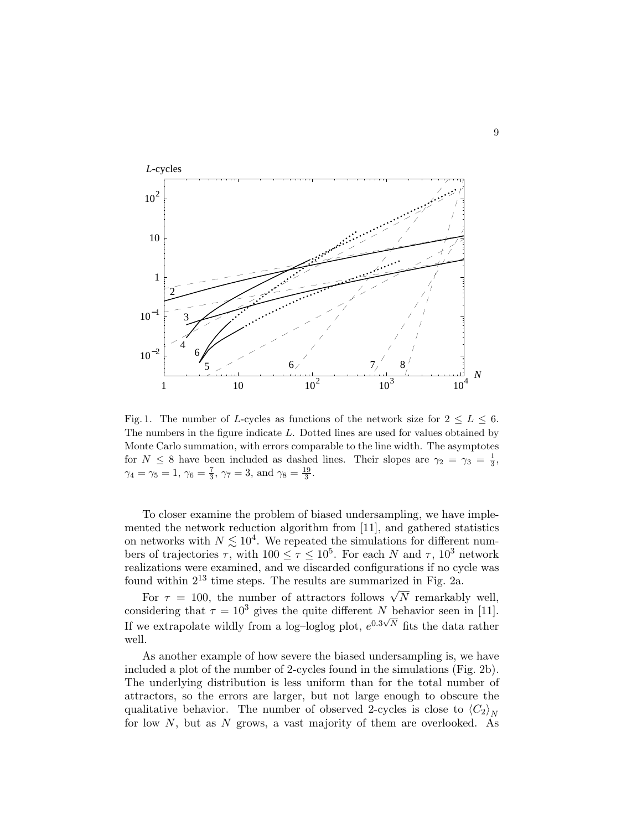

Fig. 1. The number of L-cycles as functions of the network size for  $2 \leq L \leq 6$ . The numbers in the figure indicate L. Dotted lines are used for values obtained by Monte Carlo summation, with errors comparable to the line width. The asymptotes for  $N \leq 8$  have been included as dashed lines. Their slopes are  $\gamma_2 = \gamma_3 = \frac{1}{3}$ ,  $\gamma_4 = \gamma_5 = 1, \, \gamma_6 = \frac{7}{3}, \, \gamma_7 = 3, \, \text{and } \gamma_8 = \frac{19}{3}.$ 

To closer examine the problem of biased undersampling, we have implemented the network reduction algorithm from [11], and gathered statistics on networks with  $N \lesssim 10^4$ . We repeated the simulations for different numbers of trajectories  $\tau$ , with  $100 \le \tau \le 10^5$ . For each N and  $\tau$ ,  $10^3$  network realizations were examined, and we discarded configurations if no cycle was found within  $2^{13}$  time steps. The results are summarized in Fig. 2a.

For  $\tau = 100$ , the number of attractors follows  $\sqrt{N}$  remarkably well, considering that  $\tau = 10^3$  gives the quite different N behavior seen in [11]. If we extrapolate wildly from a log–loglog plot,  $e^{0.3\sqrt{N}}$  fits the data rather well.

As another example of how severe the biased undersampling is, we have included a plot of the number of 2-cycles found in the simulations (Fig. 2b). The underlying distribution is less uniform than for the total number of attractors, so the errors are larger, but not large enough to obscure the qualitative behavior. The number of observed 2-cycles is close to  $\langle C_2 \rangle_N$ for low  $N$ , but as  $N$  grows, a vast majority of them are overlooked. As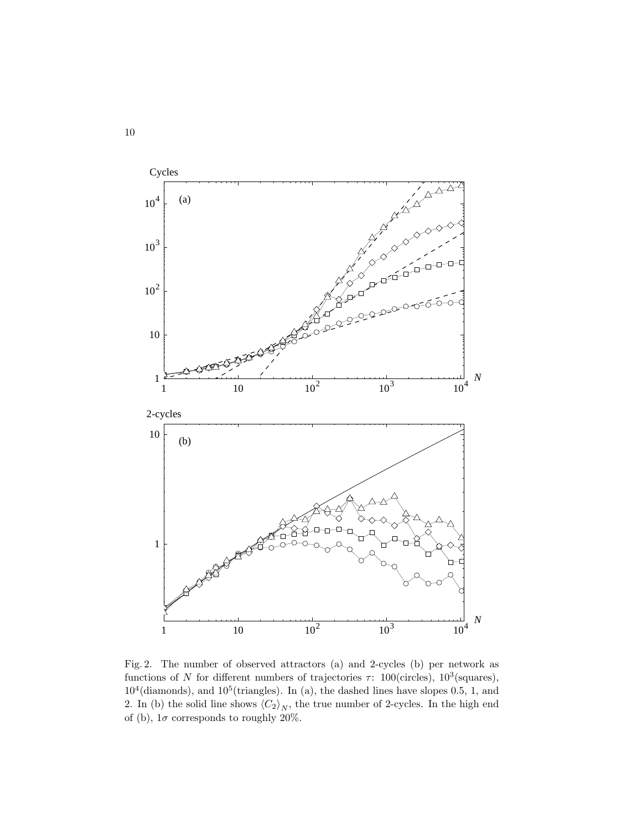

Fig. 2. The number of observed attractors (a) and 2-cycles (b) per network as functions of N for different numbers of trajectories  $\tau$ : 100(circles), 10<sup>3</sup>(squares),  $10^4$ (diamonds), and  $10^5$ (triangles). In (a), the dashed lines have slopes 0.5, 1, and 2. In (b) the solid line shows  $\langle C_2 \rangle_N$ , the true number of 2-cycles. In the high end of (b),  $1\sigma$  corresponds to roughly 20%.